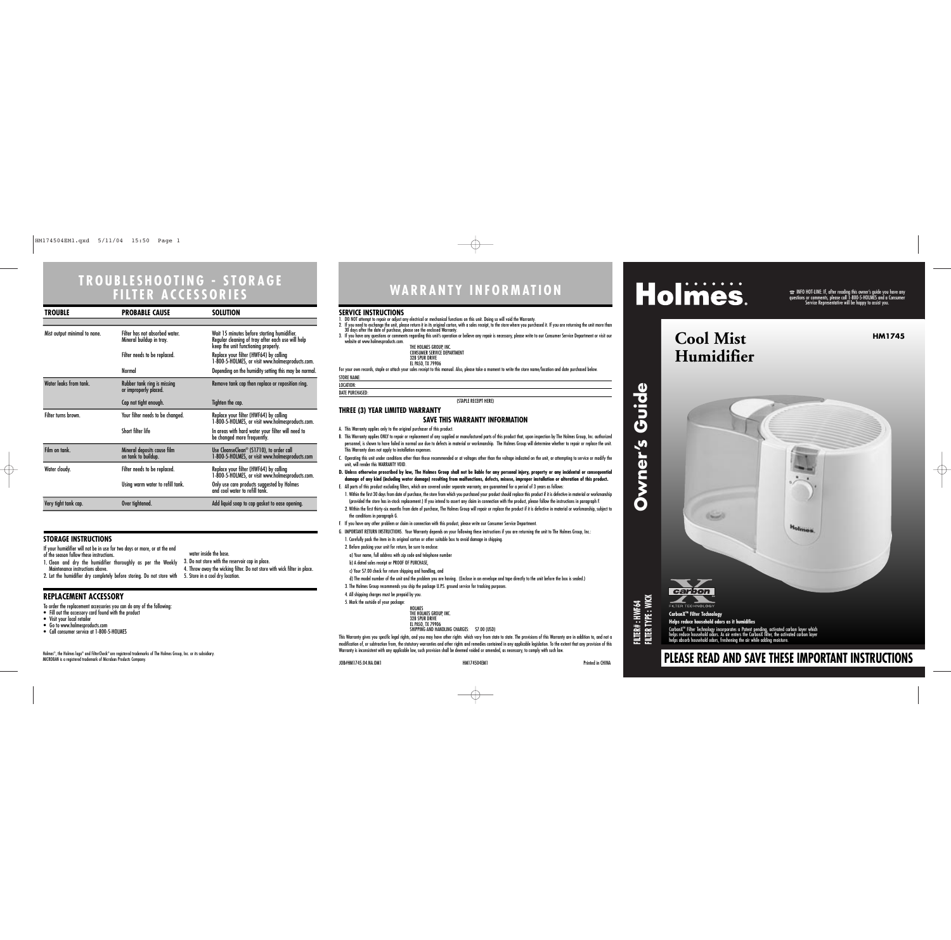**Cool Mist Humidifier**

**HM1745**

 $\overline{\bigoplus}$ 



# **PLEASE READ AND SAVE THESE IMPORTANT INSTRUCTIONS**

**FILTER# : HWF64**

# Holmes.

- 1. DO NOT attempt to repair or adjust any electrical or mechanical functions on this unit. Doing so will void the Warranty. 2. If you need to exchange the unit, please return it in its original carton, with a sales receipt, to the store where you purchased it. If you are returning the unit more than
- 30 days after the date of purchase, please see the enclosed Warranty. 3. If you have any questions or comments regarding this unit's operation or believe any repair is necessary, please write to our Consumer Service Department or visit our website at www.holmesproducts.com.

| TROUBLE                      | <b>PROBABLE CAUSE</b>                                      | <b>SOLUTION</b>                                                                                                                         |
|------------------------------|------------------------------------------------------------|-----------------------------------------------------------------------------------------------------------------------------------------|
|                              |                                                            |                                                                                                                                         |
| Mist output minimal to none. | Filter has not absorbed water.<br>Mineral buildup in tray. | Wait 15 minutes before starting humidifier.<br>Regular cleaning of tray after each use will help<br>keep the unit functioning properly. |
|                              | Filter needs to be replaced.                               | Replace your filter (HWF64) by calling<br>1-800-5-HOLMES, or visit www.holmesproducts.com.                                              |
|                              | Normal                                                     | Depending on the humidity setting this may be normal.                                                                                   |
| Water leaks from tank.       | Rubber tank ring is missing<br>or improperly placed.       | Remove tank cap then replace or reposition ring.                                                                                        |
|                              | Cap not tight enough.                                      | Tighten the cap.                                                                                                                        |
| Filter turns brown.          | Your filter needs to be changed.                           | Replace your filter (HWF64) by calling<br>1-800-5-HOLMES, or visit www.holmesproducts.com.                                              |
|                              | Short filter life                                          | In areas with hard water your filter will need to<br>be changed more frequently.                                                        |
| Film on tank.                | Mineral deposits cause film<br>on tank to buildup.         | Use CleanseClean <sup>®</sup> (S1710), to order call<br>1-800-5-HOLMES, or visit www.holmesproducts.com                                 |
| Water cloudy.                | Filter needs to be replaced.                               | Replace your filter (HWF64) by calling<br>1-800-5-HOLMES, or visit www.holmesproducts.com.                                              |
|                              | Using warm water to refill tank.                           | Only use care products suggested by Holmes<br>and cool water to refill tank.                                                            |
| Very tight tank cap.         | Over tightened.                                            | Add liquid soap to cap gasket to ease opening.                                                                                          |

#### **SERVICE INSTRUCTIONS**

| THE HOLMES GROUP, INC.             |  |
|------------------------------------|--|
| <b>CONSUMER SERVICE DEPARTMENT</b> |  |
| <b>32B SPUR DRIVE</b>              |  |
| EL PASO, TX 79906                  |  |
|                                    |  |

EL PASO, TX 79906<br>For your own records, staple or attach your sales receipt to this manual. Also, please take a moment to write the store name/location and date purchased below.

| <b>STORE NAME:</b>     |  |
|------------------------|--|
| LOCATION:              |  |
| <b>DATE PURCHASED:</b> |  |

(STAPLE RECEIPT HERE)

#### **THREE (3) YEAR LIMITED WARRANTY**

#### **SAVE THIS WARRANTY INFORMATION**

- A. This Warranty applies only to the original purchaser of this product.
- B. This Warranty applies ONLY to repair or replacement of any supplied or manufactured parts of this product that, upon inspection by The Holmes Group, Inc. authorized personnel, is shown to have failed in normal use due to defects in material or workmanship. The Holmes Group will determine whether to repair or replace the unit. This Warranty does not apply to installation expenses.
- C. Operating this unit under conditions other than those recommended or at voltages other than the voltage indicated on the unit, or attempting to service or modify the unit, will render this WARRANTY VOID.
- **D. Unless otherwise proscribed by law, The Holmes Group shall not be liable for any personal injury, property or any incidental or consequential damage of any kind (including water damage) resulting from malfunctions, defects, misuse, improper installation or alteration of this product.**
- E. All parts of this product excluding filters, which are covered under separate warranty, are guaranteed for a period of 3 years as follows:

1. Within the first 30 days from date of purchase, the store from which you purchased your product should replace this product if it is defective in material or workmanship (provided the store has in-stock replacement.) If you intend to assert any claim in connection with the product, please follow the instructions in paragraph F. 2. Within the first thirty-six months from date of purchase, The Holmes Group will repair or replace the product if it is defective in material or workmanship, subject to the conditions in paragraph G.

- F. If you have any other problem or claim in connection with this product, please write our Consumer Service Department.
- G. IMPORTANT RETURN INSTRUCTIONS. Your Warranty depends on your following these instructions if you are returning the unit to The Holmes Group, Inc.:
- 1. Carefully pack the item in its original carton or other suitable box to avoid damage in shipping.
- 2. Before packing your unit for return, be sure to enclose:
- a) Your name, full address with zip code and telephone number

b) A dated sales receipt or PROOF OF PURCHASE.

- c) Your \$7.00 check for return shipping and handling, and
- d) The model number of the unit and the problem you are having. (Enclose in an envelope and tape directly to the unit before the box is sealed.)
- 3. The Holmes Group recommends you ship the package U.P.S. ground service for tracking purposes.
- 4. All shipping charges must be prepaid by you.
- 5. Mark the outside of your package:

| <b>HOIMES</b>                               |  |
|---------------------------------------------|--|
| THE HOLMES GROUP. INC.                      |  |
| <b>32B SPUR DRIVE</b>                       |  |
| EL PASO, TX 79906                           |  |
| SHIPPING AND HANDLING CHARGES: \$7.00 (USD) |  |
|                                             |  |

This Warranty gives you specific legal rights, and you may have other rights which vary from state to state. The provisions of this Warranty are in addition to, and not a modification of, or subtraction from, the statutory warranties and other rights and remedies contained in any applicable legislation. To the extent that any provision of this Warranty is inconsistent with any applicable law, such provision shall be deemed voided or amended, as necessary, to comply with such law.

JOB#HM1745.04.NA.OM1 HM174504EM1

Printed in CHINA

| If your humidifier will not be in use for two days or more, or at the end                                     |                                                                           |  |  |  |
|---------------------------------------------------------------------------------------------------------------|---------------------------------------------------------------------------|--|--|--|
| of the season follow these instructions.                                                                      | water inside the base.                                                    |  |  |  |
| 1. Clean and dry the humidifier thoroughly as per the Weekly 3. Do not store with the reservoir cap in place. |                                                                           |  |  |  |
| Maintenance instructions above.                                                                               | 4. Throw away the wicking filter. Do not store with wick filter in place. |  |  |  |
| 2. Let the humidifier dry completely before storing. Do not store with 5. Store in a cool dry location.       |                                                                           |  |  |  |

#### **REPLACEMENT ACCESSORY**

To order the replacement accessories you can do any of the following:

- Fill out the accessory card found with the product
- Visit your local retailer
- Go to www.holmesproducts.com
- Call consumer service at 1-800-5-HOLMES

# **TROUBLESHOOTING - STORAGE FILTER ACCESSORIES**

# **WARRANTY INFORMATION**

☎ INFO HOT-LINE: If, after reading this owner's guide you have any questions or comments, please call 1-800-5-HOLMES and a Consumer Service Representative will be happy to assist you.

Holmes®, the Holmes logo® and FilterCheck® are registered trademarks of The Holmes Group, Inc. or its subsidiary. MICROBAN is a registered trademark of Microban Products Company.

#### **STORAGE INSTRUCTIONS**

**CarbonXTM Filter Technology Helps reduce household odors as it humidifies**

CarbonX'" Filter Technology incorporates a Patent pending, activated carbon layer which<br>helps reduce household odors. As air enters the CarbonX filter, the activated carbon layer<br>helps absorb household odors, freshening th